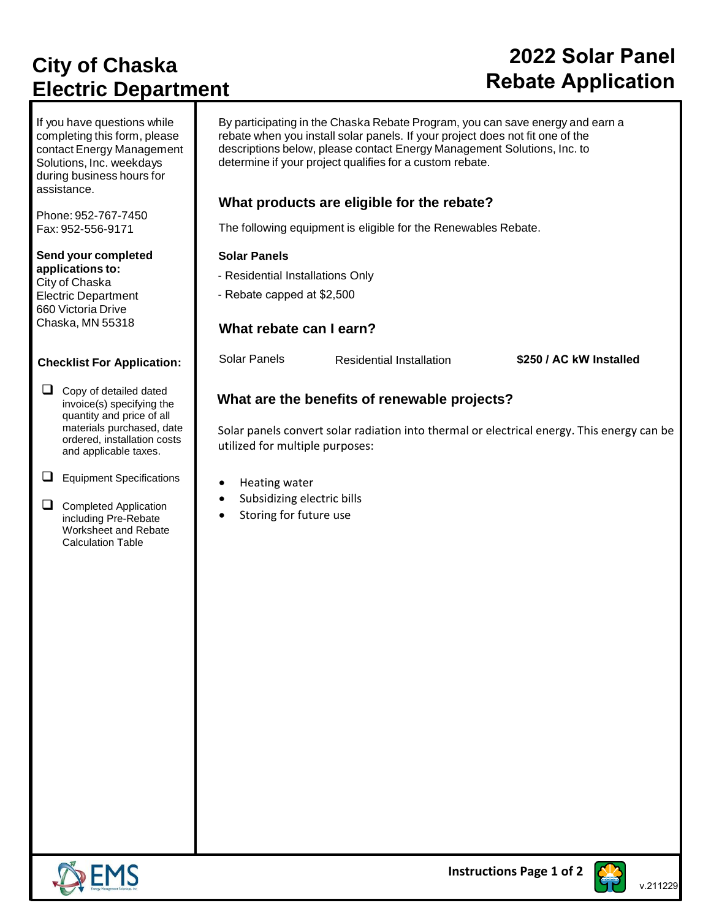# **City of Chaska Electric Department**

If you have questions while completing this form, please contact Energy Management Solutions, Inc. weekdays during business hours for assistance.

Phone: 952-767-7450 Fax: 952-556-9171

#### **Send your completed applications to:** City of Chaska Electric Department 660 Victoria Drive Chaska, MN 55318

#### **Checklist For Application:**

□ Copy of detailed dated invoice(s) specifying the quantity and price of all materials purchased, date ordered, installation costs and applicable taxes.

- ❑ Equipment Specifications
- □ Completed Application including Pre-Rebate Worksheet and Rebate Calculation Table

# **Rebate Application**

By participating in the Chaska Rebate Program, you can save energy and earn a rebate when you install solar panels. If your project does not fit one of the descriptions below, please contact Energy Management Solutions, Inc. to determine if your project qualifies for a custom rebate.

## **What products are eligible for the rebate?**

The following equipment is eligible for the Renewables Rebate.

### **Solar Panels**

- Residential Installations Only

- Rebate capped at \$2,500

## **What rebate can I earn?**

Solar Panels Residential Installation **\$250 / AC kW Installed**

 **2022 Solar Panel**

## **What are the benefits of renewable projects?**

Solar panels convert solar radiation into thermal or electrical energy. This energy can be utilized for multiple purposes:

- Heating water
- Subsidizing electric bills
- Storing for future use



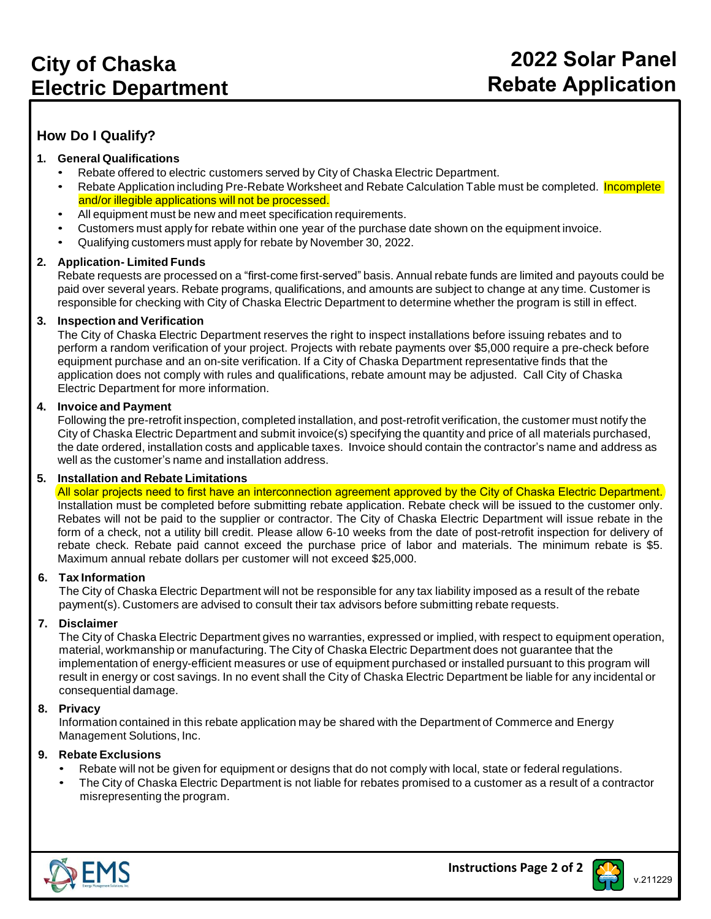## **How Do I Qualify?**

#### **1. General Qualifications**

- Rebate offered to electric customers served by City of Chaska Electric Department.
- Rebate Application including Pre-Rebate Worksheet and Rebate Calculation Table must be completed. Incomplete and/or illegible applications will not be processed.
- All equipment must be new and meet specification requirements.
- Customers must apply for rebate within one year of the purchase date shown on the equipment invoice.
- Qualifying customers must apply for rebate by November 30, 2022.

#### **2. Application- Limited Funds**

Rebate requests are processed on a "first-come first-served" basis. Annual rebate funds are limited and payouts could be paid over several years. Rebate programs, qualifications, and amounts are subject to change at any time. Customer is responsible for checking with City of Chaska Electric Department to determine whether the program is still in effect.

#### **3. Inspection and Verification**

The City of Chaska Electric Department reserves the right to inspect installations before issuing rebates and to perform a random verification of your project. Projects with rebate payments over \$5,000 require a pre-check before equipment purchase and an on-site verification. If a City of Chaska Department representative finds that the application does not comply with rules and qualifications, rebate amount may be adjusted. Call City of Chaska Electric Department for more information.

#### **4. Invoice and Payment**

Following the pre-retrofit inspection, completed installation, and post-retrofit verification, the customer must notify the City of Chaska Electric Department and submit invoice(s) specifying the quantity and price of all materials purchased, the date ordered, installation costs and applicable taxes. Invoice should contain the contractor's name and address as well as the customer's name and installation address.

#### **5. Installation and Rebate Limitations**

All solar projects need to first have an interconnection agreement approved by the City of Chaska Electric Department. Installation must be completed before submitting rebate application. Rebate check will be issued to the customer only. Rebates will not be paid to the supplier or contractor. The City of Chaska Electric Department will issue rebate in the form of a check, not a utility bill credit. Please allow 6-10 weeks from the date of post-retrofit inspection for delivery of rebate check. Rebate paid cannot exceed the purchase price of labor and materials. The minimum rebate is \$5. Maximum annual rebate dollars per customer will not exceed \$25,000.

#### **6. Tax Information**

The City of Chaska Electric Department will not be responsible for any tax liability imposed as a result of the rebate payment(s). Customers are advised to consult their tax advisors before submitting rebate requests.

#### **7. Disclaimer**

The City of Chaska Electric Department gives no warranties, expressed or implied, with respect to equipment operation, material, workmanship or manufacturing. The City of Chaska Electric Department does not guarantee that the implementation of energy-efficient measures or use of equipment purchased or installed pursuant to this program will result in energy or cost savings. In no event shall the City of Chaska Electric Department be liable for any incidental or consequential damage.

#### **8. Privacy**

Information contained in this rebate application may be shared with the Department of Commerce and Energy Management Solutions, Inc.

#### **9. Rebate Exclusions**

- Rebate will not be given for equipment or designs that do not comply with local, state or federal regulations.
- The City of Chaska Electric Department is not liable for rebates promised to a customer as a result of a contractor misrepresenting the program.



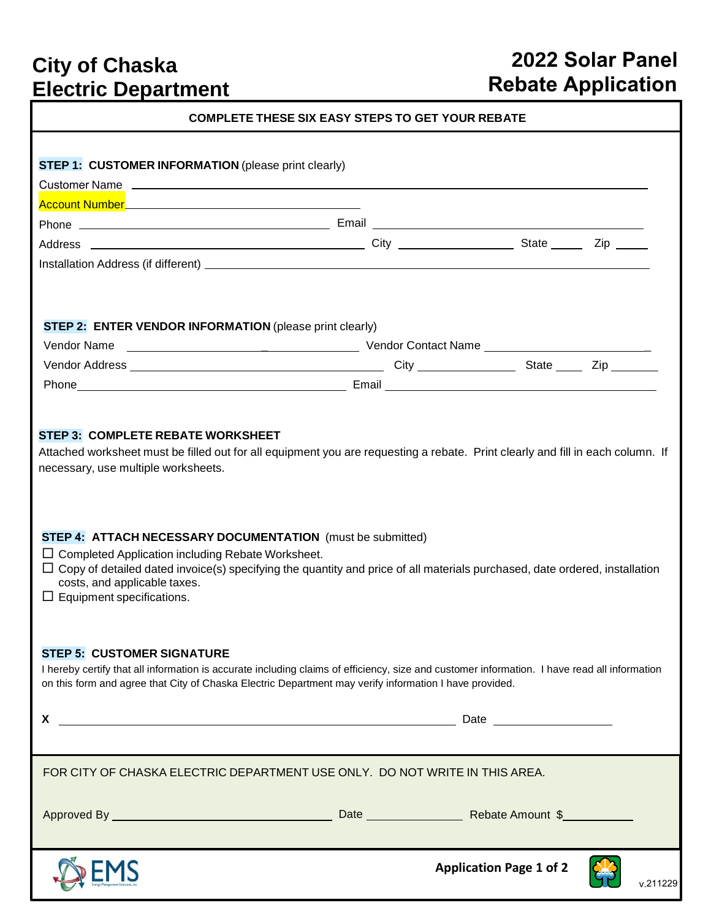# **City of Chaska Electric Department**

# **2022 Solar Panel Rebate Application**

| <b>COMPLETE THESE SIX EASY STEPS TO GET YOUR REBATE</b>                                                                                                                                                                                                                                                                                                                                                                                                                                                                                                                                                                                                                                              |  |                                |          |  |  |  |  |
|------------------------------------------------------------------------------------------------------------------------------------------------------------------------------------------------------------------------------------------------------------------------------------------------------------------------------------------------------------------------------------------------------------------------------------------------------------------------------------------------------------------------------------------------------------------------------------------------------------------------------------------------------------------------------------------------------|--|--------------------------------|----------|--|--|--|--|
|                                                                                                                                                                                                                                                                                                                                                                                                                                                                                                                                                                                                                                                                                                      |  |                                |          |  |  |  |  |
| <b>STEP 1: CUSTOMER INFORMATION (please print clearly)</b>                                                                                                                                                                                                                                                                                                                                                                                                                                                                                                                                                                                                                                           |  |                                |          |  |  |  |  |
| Customer Name 2000 Customer Name 2000 Customer April 2000 Customer April 2000 Customer April 2000 Customer April 2000 Customer April 2000 Customer April 2000 Customer April 2000 Customer April 2000 Customer April 2000 Cust                                                                                                                                                                                                                                                                                                                                                                                                                                                                       |  |                                |          |  |  |  |  |
|                                                                                                                                                                                                                                                                                                                                                                                                                                                                                                                                                                                                                                                                                                      |  |                                |          |  |  |  |  |
|                                                                                                                                                                                                                                                                                                                                                                                                                                                                                                                                                                                                                                                                                                      |  |                                |          |  |  |  |  |
|                                                                                                                                                                                                                                                                                                                                                                                                                                                                                                                                                                                                                                                                                                      |  |                                |          |  |  |  |  |
|                                                                                                                                                                                                                                                                                                                                                                                                                                                                                                                                                                                                                                                                                                      |  |                                |          |  |  |  |  |
|                                                                                                                                                                                                                                                                                                                                                                                                                                                                                                                                                                                                                                                                                                      |  |                                |          |  |  |  |  |
| <b>STEP 2: ENTER VENDOR INFORMATION (please print clearly)</b>                                                                                                                                                                                                                                                                                                                                                                                                                                                                                                                                                                                                                                       |  |                                |          |  |  |  |  |
|                                                                                                                                                                                                                                                                                                                                                                                                                                                                                                                                                                                                                                                                                                      |  |                                |          |  |  |  |  |
|                                                                                                                                                                                                                                                                                                                                                                                                                                                                                                                                                                                                                                                                                                      |  |                                |          |  |  |  |  |
|                                                                                                                                                                                                                                                                                                                                                                                                                                                                                                                                                                                                                                                                                                      |  |                                |          |  |  |  |  |
|                                                                                                                                                                                                                                                                                                                                                                                                                                                                                                                                                                                                                                                                                                      |  |                                |          |  |  |  |  |
| Attached worksheet must be filled out for all equipment you are requesting a rebate. Print clearly and fill in each column. If<br>necessary, use multiple worksheets.<br><b>STEP 4: ATTACH NECESSARY DOCUMENTATION</b> (must be submitted)<br>$\Box$ Completed Application including Rebate Worksheet.<br>$\Box$ Copy of detailed dated invoice(s) specifying the quantity and price of all materials purchased, date ordered, installation<br>costs, and applicable taxes.<br>$\Box$ Equipment specifications.<br><b>STEP 5: CUSTOMER SIGNATURE</b><br>I hereby certify that all information is accurate including claims of efficiency, size and customer information. I have read all information |  |                                |          |  |  |  |  |
| on this form and agree that City of Chaska Electric Department may verify information I have provided.                                                                                                                                                                                                                                                                                                                                                                                                                                                                                                                                                                                               |  |                                |          |  |  |  |  |
| X.                                                                                                                                                                                                                                                                                                                                                                                                                                                                                                                                                                                                                                                                                                   |  |                                |          |  |  |  |  |
|                                                                                                                                                                                                                                                                                                                                                                                                                                                                                                                                                                                                                                                                                                      |  |                                |          |  |  |  |  |
| FOR CITY OF CHASKA ELECTRIC DEPARTMENT USE ONLY. DO NOT WRITE IN THIS AREA.                                                                                                                                                                                                                                                                                                                                                                                                                                                                                                                                                                                                                          |  |                                |          |  |  |  |  |
|                                                                                                                                                                                                                                                                                                                                                                                                                                                                                                                                                                                                                                                                                                      |  |                                |          |  |  |  |  |
|                                                                                                                                                                                                                                                                                                                                                                                                                                                                                                                                                                                                                                                                                                      |  | <b>Application Page 1 of 2</b> | v.211229 |  |  |  |  |